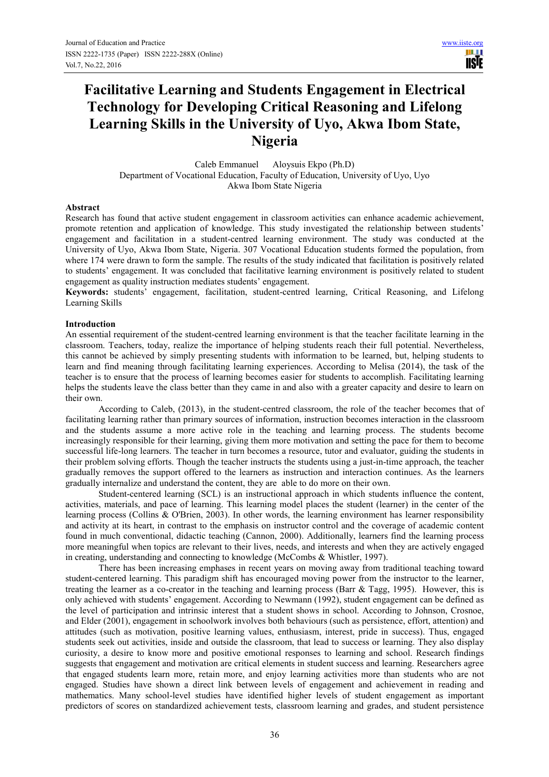# **Facilitative Learning and Students Engagement in Electrical Technology for Developing Critical Reasoning and Lifelong Learning Skills in the University of Uyo, Akwa Ibom State, Nigeria**

Caleb Emmanuel Aloysuis Ekpo (Ph.D) Department of Vocational Education, Faculty of Education, University of Uyo, Uyo Akwa Ibom State Nigeria

## **Abstract**

Research has found that active student engagement in classroom activities can enhance academic achievement, promote retention and application of knowledge. This study investigated the relationship between students' engagement and facilitation in a student-centred learning environment. The study was conducted at the University of Uyo, Akwa Ibom State, Nigeria. 307 Vocational Education students formed the population, from where 174 were drawn to form the sample. The results of the study indicated that facilitation is positively related to students' engagement. It was concluded that facilitative learning environment is positively related to student engagement as quality instruction mediates students' engagement.

**Keywords:** students' engagement, facilitation, student-centred learning, Critical Reasoning, and Lifelong Learning Skills

## **Introduction**

An essential requirement of the student-centred learning environment is that the teacher facilitate learning in the classroom. Teachers, today, realize the importance of helping students reach their full potential. Nevertheless, this cannot be achieved by simply presenting students with information to be learned, but, helping students to learn and find meaning through facilitating learning experiences. According to Melisa (2014), the task of the teacher is to ensure that the process of learning becomes easier for students to accomplish. Facilitating learning helps the students leave the class better than they came in and also with a greater capacity and desire to learn on their own.

According to Caleb, (2013), in the student-centred classroom, the role of the teacher becomes that of facilitating learning rather than primary sources of information, instruction becomes interaction in the classroom and the students assume a more active role in the teaching and learning process. The students become increasingly responsible for their learning, giving them more motivation and setting the pace for them to become successful life-long learners. The teacher in turn becomes a resource, tutor and evaluator, guiding the students in their problem solving efforts. Though the teacher instructs the students using a just-in-time approach, the teacher gradually removes the support offered to the learners as instruction and interaction continues. As the learners gradually internalize and understand the content, they are able to do more on their own.

Student-centered learning (SCL) is an instructional approach in which students influence the content, activities, materials, and pace of learning. This learning model places the student (learner) in the center of the learning process (Collins & O'Brien, 2003). In other words, the learning environment has learner responsibility and activity at its heart, in contrast to the emphasis on instructor control and the coverage of academic content found in much conventional, didactic teaching (Cannon, 2000). Additionally, learners find the learning process more meaningful when topics are relevant to their lives, needs, and interests and when they are actively engaged in creating, understanding and connecting to knowledge (McCombs & Whistler, 1997).

There has been increasing emphases in recent years on moving away from traditional teaching toward student-centered learning. This paradigm shift has encouraged moving power from the instructor to the learner, treating the learner as a co-creator in the teaching and learning process (Barr & Tagg, 1995). However, this is only achieved with students' engagement. According to Newmann (1992), student engagement can be defined as the level of participation and intrinsic interest that a student shows in school. According to Johnson, Crosnoe, and Elder (2001), engagement in schoolwork involves both behaviours (such as persistence, effort, attention) and attitudes (such as motivation, positive learning values, enthusiasm, interest, pride in success). Thus, engaged students seek out activities, inside and outside the classroom, that lead to success or learning. They also display curiosity, a desire to know more and positive emotional responses to learning and school. Research findings suggests that engagement and motivation are critical elements in student success and learning. Researchers agree that engaged students learn more, retain more, and enjoy learning activities more than students who are not engaged. Studies have shown a direct link between levels of engagement and achievement in reading and mathematics. Many school-level studies have identified higher levels of student engagement as important predictors of scores on standardized achievement tests, classroom learning and grades, and student persistence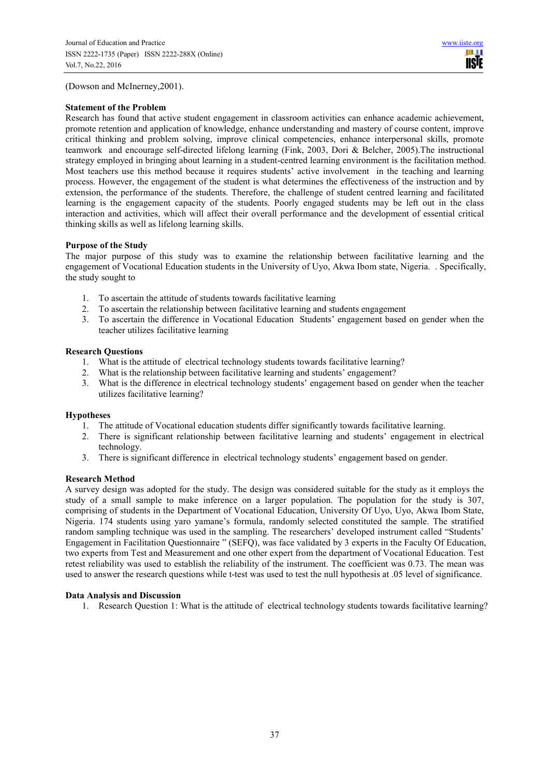(Dowson and McInerney,2001).

## **Statement of the Problem**

Research has found that active student engagement in classroom activities can enhance academic achievement, promote retention and application of knowledge, enhance understanding and mastery of course content, improve critical thinking and problem solving, improve clinical competencies, enhance interpersonal skills, promote teamwork and encourage self-directed lifelong learning (Fink, 2003, Dori & Belcher, 2005).The instructional strategy employed in bringing about learning in a student-centred learning environment is the facilitation method. Most teachers use this method because it requires students' active involvement in the teaching and learning process. However, the engagement of the student is what determines the effectiveness of the instruction and by extension, the performance of the students. Therefore, the challenge of student centred learning and facilitated learning is the engagement capacity of the students. Poorly engaged students may be left out in the class interaction and activities, which will affect their overall performance and the development of essential critical thinking skills as well as lifelong learning skills.

# **Purpose of the Study**

The major purpose of this study was to examine the relationship between facilitative learning and the engagement of Vocational Education students in the University of Uyo, Akwa Ibom state, Nigeria. . Specifically, the study sought to

- 1. To ascertain the attitude of students towards facilitative learning
- 2. To ascertain the relationship between facilitative learning and students engagement
- 3. To ascertain the difference in Vocational Education Students' engagement based on gender when the teacher utilizes facilitative learning

## **Research Questions**

- 1. What is the attitude of electrical technology students towards facilitative learning?
- 2. What is the relationship between facilitative learning and students' engagement?
- 3. What is the difference in electrical technology students' engagement based on gender when the teacher utilizes facilitative learning?

### **Hypotheses**

- 1. The attitude of Vocational education students differ significantly towards facilitative learning.
- 2. There is significant relationship between facilitative learning and students' engagement in electrical technology.
- 3. There is significant difference in electrical technology students' engagement based on gender.

# **Research Method**

A survey design was adopted for the study. The design was considered suitable for the study as it employs the study of a small sample to make inference on a larger population. The population for the study is 307, comprising of students in the Department of Vocational Education, University Of Uyo, Uyo, Akwa Ibom State, Nigeria. 174 students using yaro yamane's formula, randomly selected constituted the sample. The stratified random sampling technique was used in the sampling. The researchers' developed instrument called "Students' Engagement in Facilitation Questionnaire " (SEFQ), was face validated by 3 experts in the Faculty Of Education, two experts from Test and Measurement and one other expert from the department of Vocational Education. Test retest reliability was used to establish the reliability of the instrument. The coefficient was 0.73. The mean was used to answer the research questions while t-test was used to test the null hypothesis at .05 level of significance.

# **Data Analysis and Discussion**

1. Research Question 1: What is the attitude of electrical technology students towards facilitative learning?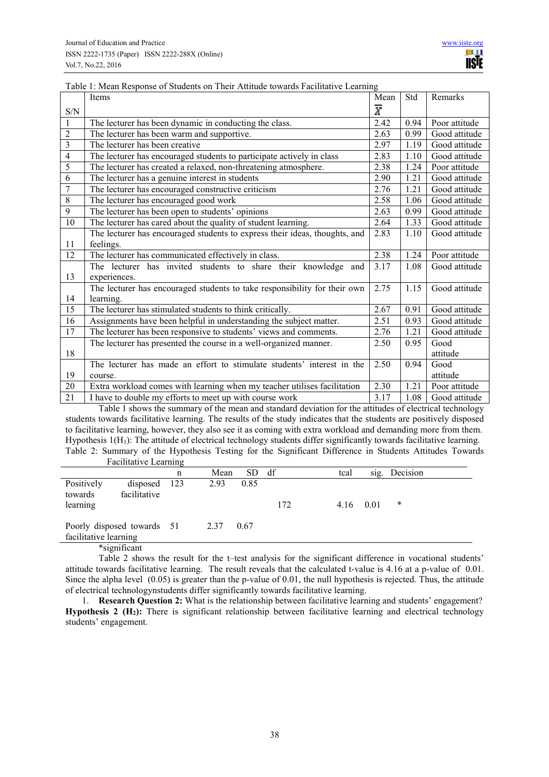|                             | Items                                                                      | Mean           | Std  | Remarks       |
|-----------------------------|----------------------------------------------------------------------------|----------------|------|---------------|
| $\ensuremath{\mathrm{S/N}}$ |                                                                            | $\overline{X}$ |      |               |
| $\mathbf{1}$                | The lecturer has been dynamic in conducting the class.                     | 2.42           | 0.94 | Poor attitude |
| $\overline{2}$              | The lecturer has been warm and supportive.                                 | 2.63           | 0.99 | Good attitude |
| 3                           | The lecturer has been creative                                             | 2.97           | 1.19 | Good attitude |
| $\overline{4}$              | The lecturer has encouraged students to participate actively in class      | 2.83           | 1.10 | Good attitude |
| 5                           | The lecturer has created a relaxed, non-threatening atmosphere.            | 2.38           | 1.24 | Poor attitude |
| 6                           | The lecturer has a genuine interest in students                            | 2.90           | 1.21 | Good attitude |
| $\overline{7}$              | The lecturer has encouraged constructive criticism                         | 2.76           | 1.21 | Good attitude |
| 8                           | The lecturer has encouraged good work                                      | 2.58           | 1.06 | Good attitude |
| 9                           | The lecturer has been open to students' opinions                           | 2.63           | 0.99 | Good attitude |
| 10                          | The lecturer has cared about the quality of student learning.              | 2.64           | 1.33 | Good attitude |
|                             | The lecturer has encouraged students to express their ideas, thoughts, and | 2.83           | 1.10 | Good attitude |
| 11                          | feelings.                                                                  |                |      |               |
| 12                          | The lecturer has communicated effectively in class.                        | 2.38           | 1.24 | Poor attitude |
|                             | The lecturer has invited students to share their knowledge<br>and          | 3.17           | 1.08 | Good attitude |
| 13                          | experiences.                                                               |                |      |               |
|                             | The lecturer has encouraged students to take responsibility for their own  | 2.75           | 1.15 | Good attitude |
| 14                          | learning.                                                                  |                |      |               |
| 15                          | The lecturer has stimulated students to think critically.                  | 2.67           | 0.91 | Good attitude |
| $\overline{16}$             | Assignments have been helpful in understanding the subject matter.         | 2.51           | 0.93 | Good attitude |
| $\overline{17}$             | The lecturer has been responsive to students' views and comments.          | 2.76           | 1.21 | Good attitude |
|                             | The lecturer has presented the course in a well-organized manner.          | 2.50           | 0.95 | Good          |
| 18                          |                                                                            |                |      | attitude      |
|                             | The lecturer has made an effort to stimulate students' interest in the     | 2.50           | 0.94 | Good          |
| 19                          | course.                                                                    |                |      | attitude      |
| 20                          | Extra workload comes with learning when my teacher utilises facilitation   | 2.30           | 1.21 | Poor attitude |
| 21                          | I have to double my efforts to meet up with course work                    | 3.17           | 1.08 | Good attitude |

Table 1: Mean Response of Students on Their Attitude towards Facilitative Learning

Table 1 shows the summary of the mean and standard deviation for the attitudes of electrical technology students towards facilitative learning. The results of the study indicates that the students are positively disposed to facilitative learning, however, they also see it as coming with extra workload and demanding more from them. Hypothesis  $1(H_1)$ : The attitude of electrical technology students differ significantly towards facilitative learning. Table 2: Summary of the Hypothesis Testing for the Significant Difference in Students Attitudes Towards Facilitative Learning

| n |                                            | SD.  | df   | tcal | sig. | Decision          |
|---|--------------------------------------------|------|------|------|------|-------------------|
|   | 2.93                                       | 0.85 | 172  |      |      | *                 |
|   | 2.37                                       | 0.67 |      |      |      |                   |
|   | disposed 123<br>Poorly disposed towards 51 |      | Mean |      |      | $4.16 \quad 0.01$ |

\*significant

Table 2 shows the result for the t–test analysis for the significant difference in vocational students' attitude towards facilitative learning. The result reveals that the calculated t-value is 4.16 at a p-value of 0.01. Since the alpha level (0.05) is greater than the p-value of 0.01, the null hypothesis is rejected. Thus, the attitude of electrical technologynstudents differ significantly towards facilitative learning.

1. **Research Question 2:** What is the relationship between facilitative learning and students' engagement? **Hypothesis 2 (H2):** There is significant relationship between facilitative learning and electrical technology students' engagement.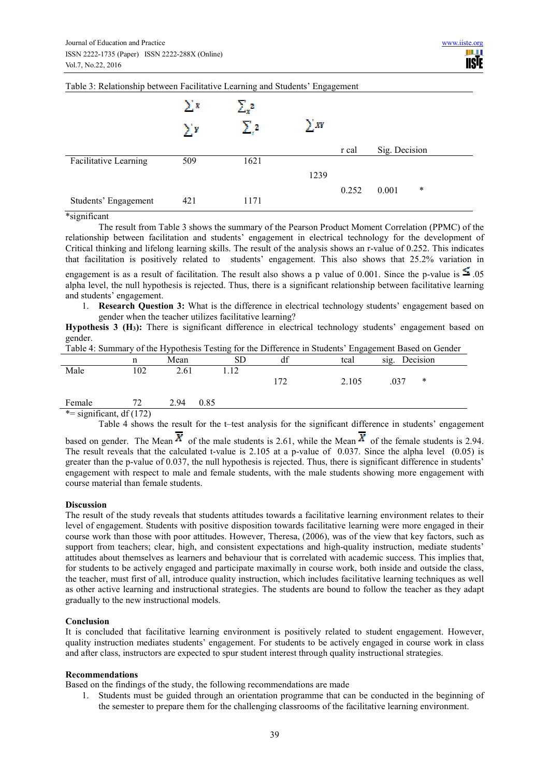|                       | $\sum_{i=1}^{n}$<br>$\sum_{i=1}^{n}$ | $\Sigma_{\rm x}^2$<br>$\Sigma$ .2 | $\sum XY$ |       |               |        |
|-----------------------|--------------------------------------|-----------------------------------|-----------|-------|---------------|--------|
|                       |                                      |                                   |           | r cal | Sig. Decision |        |
| Facilitative Learning | 509                                  | 1621                              |           |       |               |        |
|                       |                                      |                                   | 1239      |       |               |        |
|                       |                                      |                                   |           | 0.252 | 0.001         | $\ast$ |
| Students' Engagement  | 421                                  | 1171                              |           |       |               |        |

## Table 3: Relationship between Facilitative Learning and Students' Engagement

\*significant

The result from Table 3 shows the summary of the Pearson Product Moment Correlation (PPMC) of the relationship between facilitation and students' engagement in electrical technology for the development of Critical thinking and lifelong learning skills. The result of the analysis shows an r-value of 0.252. This indicates that facilitation is positively related to students' engagement. This also shows that 25.2% variation in engagement is as a result of facilitation. The result also shows a p value of 0.001. Since the p-value is  $\leq 0.05$ 

alpha level, the null hypothesis is rejected. Thus, there is a significant relationship between facilitative learning and students' engagement.

1. **Research Question 3:** What is the difference in electrical technology students' engagement based on gender when the teacher utilizes facilitative learning?

**Hypothesis 3 (H3):** There is significant difference in electrical technology students' engagement based on gender.

| Table 4: Summary of the Hypothesis Testing for the Difference in Students' Engagement Based on Gender |  |  |
|-------------------------------------------------------------------------------------------------------|--|--|
|                                                                                                       |  |  |

|        |         | <u>J</u> 1   | ັ           |          | ັັ    |                  |  |
|--------|---------|--------------|-------------|----------|-------|------------------|--|
|        | n       | Mean         | $_{\rm SD}$ | 10<br>αı | tcal  | Decision<br>sig. |  |
| Male   | 102     | 2.61         | 1.12        |          |       |                  |  |
|        |         |              |             | 77ء      | 2.105 | .037<br>*        |  |
|        |         |              |             |          |       |                  |  |
| Female | 72<br>∸ | 2.94<br>0.85 |             |          |       |                  |  |

 $*$ = significant, df (172)

Table 4 shows the result for the t–test analysis for the significant difference in students' engagement

based on gender. The Mean  $X$  of the male students is 2.61, while the Mean  $X$  of the female students is 2.94. The result reveals that the calculated t-value is 2.105 at a p-value of 0.037. Since the alpha level (0.05) is greater than the p-value of 0.037, the null hypothesis is rejected. Thus, there is significant difference in students' engagement with respect to male and female students, with the male students showing more engagement with course material than female students.

### **Discussion**

The result of the study reveals that students attitudes towards a facilitative learning environment relates to their level of engagement. Students with positive disposition towards facilitative learning were more engaged in their course work than those with poor attitudes. However, Theresa, (2006), was of the view that key factors, such as support from teachers; clear, high, and consistent expectations and high-quality instruction, mediate students' attitudes about themselves as learners and behaviour that is correlated with academic success. This implies that, for students to be actively engaged and participate maximally in course work, both inside and outside the class, the teacher, must first of all, introduce quality instruction, which includes facilitative learning techniques as well as other active learning and instructional strategies. The students are bound to follow the teacher as they adapt gradually to the new instructional models.

### **Conclusion**

It is concluded that facilitative learning environment is positively related to student engagement. However, quality instruction mediates students' engagement. For students to be actively engaged in course work in class and after class, instructors are expected to spur student interest through quality instructional strategies.

### **Recommendations**

Based on the findings of the study, the following recommendations are made

1. Students must be guided through an orientation programme that can be conducted in the beginning of the semester to prepare them for the challenging classrooms of the facilitative learning environment.